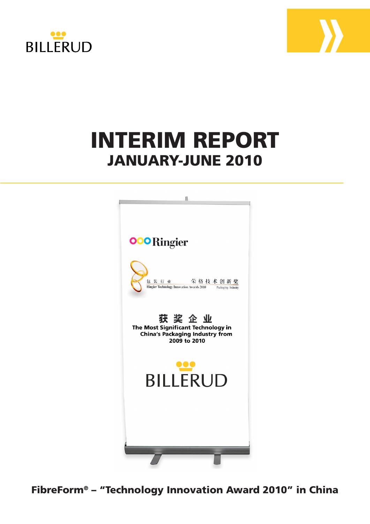



# **INTERIM REPORT** *2009* JANUARY-JUNE 2010



FibreForm® – "Technology Innovation Award 2010" in China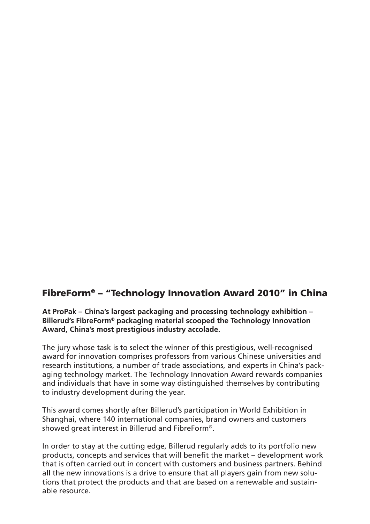# FibreForm® – "Technology Innovation Award 2010" in China

**At ProPak – China's largest packaging and processing technology exhibition – Billerud's FibreForm® packaging material scooped the Technology Innovation Award, China's most prestigious industry accolade.** 

The jury whose task is to select the winner of this prestigious, well-recognised award for innovation comprises professors from various Chinese universities and research institutions, a number of trade associations, and experts in China's packaging technology market. The Technology Innovation Award rewards companies and individuals that have in some way distinguished themselves by contributing to industry development during the year.

This award comes shortly after Billerud's participation in World Exhibition in Shanghai, where 140 international companies, brand owners and customers showed great interest in Billerud and FibreForm®.

In order to stay at the cutting edge, Billerud regularly adds to its portfolio new products, concepts and services that will benefit the market – development work that is often carried out in concert with customers and business partners. Behind all the new innovations is a drive to ensure that all players gain from new solutions that protect the products and that are based on a renewable and sustainable resource.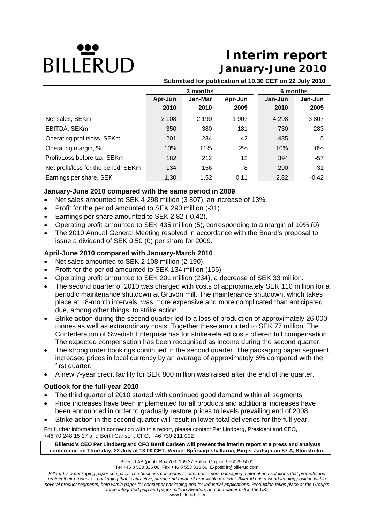# **DILLERUD**

# **Interim report January-June 2010**

**Submitted for publication at 10.30 CET on 22 July 2010**

|                                      | 3 months |         |                   | 6 months |         |  |
|--------------------------------------|----------|---------|-------------------|----------|---------|--|
|                                      | Apr-Jun  | Jan-Mar | Apr-Jun           | Jan-Jun  | Jan-Jun |  |
|                                      | 2010     | 2010    | 2009              | 2010     | 2009    |  |
| Net sales, SEKm                      | 2 108    | 2 1 9 0 | 1 907             | 4 2 9 8  | 3807    |  |
| EBITDA, SEKm                         | 350      | 380     | 181               | 730      | 283     |  |
| Operating profit/loss, SEKm          | 201      | 234     | 42                | 435      | 5       |  |
| Operating margin, %                  | 10%      | 11%     | 2%                | 10%      | $0\%$   |  |
| Profit/Loss before tax, SEKm         | 182      | 212     | $12 \overline{ }$ | 394      | $-57$   |  |
| Net profit/loss for the period, SEKm | 134      | 156     | 8                 | 290      | $-31$   |  |
| Earnings per share, SEK              | 1,30     | 1.52    | 0.11              | 2,82     | $-0,42$ |  |

#### **January-June 2010 compared with the same period in 2009**

- Net sales amounted to SEK 4 298 million (3 807), an increase of 13%.
- Profit for the period amounted to SEK 290 million (-31).
- Earnings per share amounted to SEK 2,82 (-0,42).
- Operating profit amounted to SEK 435 million (5), corresponding to a margin of 10% (0).
- The 2010 Annual General Meeting resolved in accordance with the Board's proposal to issue a dividend of SEK 0,50 (0) per share for 2009.

#### **April-June 2010 compared with January-March 2010**

- Net sales amounted to SEK 2 108 million (2 190).
- Profit for the period amounted to SEK 134 million (156).
- Operating profit amounted to SEK 201 million (234), a decrease of SEK 33 million.
- The second quarter of 2010 was charged with costs of approximately SEK 110 million for a periodic maintenance shutdown at Gruvön mill. The maintenance shutdown, which takes place at 18-month intervals, was more expensive and more complicated than anticipated due, among other things, to strike action.
- Strike action during the second quarter led to a loss of production of approximately 26 000 tonnes as well as extraordinary costs. Together these amounted to SEK 77 million. The Confederation of Swedish Enterprise has for strike-related costs offered full compensation. The expected compensation has been recognised as income during the second quarter.
- The strong order bookings continued in the second quarter. The packaging paper segment increased prices in local currency by an average of approximately 6% compared with the first quarter.
- A new 7-year credit facility for SEK 800 million was raised after the end of the quarter.

#### **Outlook for the full-year 2010**

- The third quarter of 2010 started with continued good demand within all segments.
- Price increases have been implemented for all products and additional increases have been announced in order to gradually restore prices to levels prevailing end of 2008.
- Strike action in the second quarter will result in lower total deliveries for the full year.

For further information in connection with this report, please contact Per Lindberg, President and CEO, +46 70 248 15 17 and Bertil Carlsén, CFO, +46 730 211 092

 **Billerud's CEO Per Lindberg and CFO Bertil Carlsén will present the interim report at a press and analysts conference on Thursday, 22 July at 13.00 CET. Venue: Spårvagnshallarna, Birger Jarlsgatan 57 A, Stockholm.** 

Billerud AB (publ) Box 703, 169 27 Solna Org. nr. 556025-5001

Tel +46 8 553 335 00 Fax +46 8 553 335 60 E-post: ir@billerud.com

*Billerud is a packaging paper company. The business concept is to offer customers packaging material and solutions that promote and protect their products – packaging that is attractive, strong and made of renewable material. Billerud has a world-leading position within several product segments, both within paper for consumer packaging and for industrial applications. Production takes place at the Group's three integrated pulp and paper mills in Sweden, and at a paper mill in the UK.*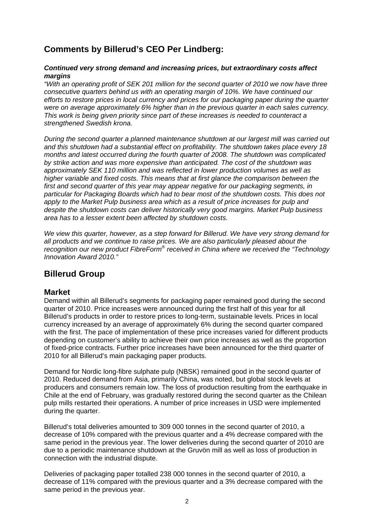# **Comments by Billerud's CEO Per Lindberg:**

#### *Continued very strong demand and increasing prices, but extraordinary costs affect margins*

*"With an operating profit of SEK 201 million for the second quarter of 2010 we now have three consecutive quarters behind us with an operating margin of 10%. We have continued our efforts to restore prices in local currency and prices for our packaging paper during the quarter were on average approximately 6% higher than in the previous quarter in each sales currency. This work is being given priority since part of these increases is needed to counteract a strengthened Swedish krona.* 

*During the second quarter a planned maintenance shutdown at our largest mill was carried out and this shutdown had a substantial effect on profitability. The shutdown takes place every 18 months and latest occurred during the fourth quarter of 2008. The shutdown was complicated by strike action and was more expensive than anticipated. The cost of the shutdown was approximately SEK 110 million and was reflected in lower production volumes as well as higher variable and fixed costs. This means that at first glance the comparison between the first and second quarter of this year may appear negative for our packaging segments, in particular for Packaging Boards which had to bear most of the shutdown costs. This does not apply to the Market Pulp business area which as a result of price increases for pulp and despite the shutdown costs can deliver historically very good margins. Market Pulp business area has to a lesser extent been affected by shutdown costs.* 

*We view this quarter, however, as a step forward for Billerud. We have very strong demand for all products and we continue to raise prices. We are also particularly pleased about the recognition our new product FibreForm*® *received in China where we received the "Technology Innovation Award 2010."* 

# **Billerud Group**

#### **Market**

Demand within all Billerud's segments for packaging paper remained good during the second quarter of 2010. Price increases were announced during the first half of this year for all Billerud's products in order to restore prices to long-term, sustainable levels. Prices in local currency increased by an average of approximately 6% during the second quarter compared with the first. The pace of implementation of these price increases varied for different products depending on customer's ability to achieve their own price increases as well as the proportion of fixed-price contracts. Further price increases have been announced for the third quarter of 2010 for all Billerud's main packaging paper products.

Demand for Nordic long-fibre sulphate pulp (NBSK) remained good in the second quarter of 2010. Reduced demand from Asia, primarily China, was noted, but global stock levels at producers and consumers remain low. The loss of production resulting from the earthquake in Chile at the end of February, was gradually restored during the second quarter as the Chilean pulp mills restarted their operations. A number of price increases in USD were implemented during the quarter.

Billerud's total deliveries amounted to 309 000 tonnes in the second quarter of 2010, a decrease of 10% compared with the previous quarter and a 4% decrease compared with the same period in the previous year. The lower deliveries during the second quarter of 2010 are due to a periodic maintenance shutdown at the Gruvön mill as well as loss of production in connection with the industrial dispute.

Deliveries of packaging paper totalled 238 000 tonnes in the second quarter of 2010, a decrease of 11% compared with the previous quarter and a 3% decrease compared with the same period in the previous year.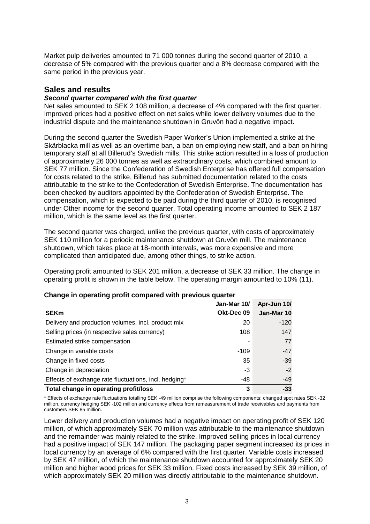Market pulp deliveries amounted to 71 000 tonnes during the second quarter of 2010, a decrease of 5% compared with the previous quarter and a 8% decrease compared with the same period in the previous year.

#### **Sales and results**

#### *Second quarter compared with the first quarter*

Net sales amounted to SEK 2 108 million, a decrease of 4% compared with the first quarter. Improved prices had a positive effect on net sales while lower delivery volumes due to the industrial dispute and the maintenance shutdown in Gruvön had a negative impact.

During the second quarter the Swedish Paper Worker's Union implemented a strike at the Skärblacka mill as well as an overtime ban, a ban on employing new staff, and a ban on hiring temporary staff at all Billerud's Swedish mills. This strike action resulted in a loss of production of approximately 26 000 tonnes as well as extraordinary costs, which combined amount to SEK 77 million. Since the Confederation of Swedish Enterprise has offered full compensation for costs related to the strike, Billerud has submitted documentation related to the costs attributable to the strike to the Confederation of Swedish Enterprise. The documentation has been checked by auditors appointed by the Confederation of Swedish Enterprise. The compensation, which is expected to be paid during the third quarter of 2010, is recognised under Other income for the second quarter. Total operating income amounted to SEK 2 187 million, which is the same level as the first quarter.

The second quarter was charged, unlike the previous quarter, with costs of approximately SEK 110 million for a periodic maintenance shutdown at Gruvön mill. The maintenance shutdown, which takes place at 18-month intervals, was more expensive and more complicated than anticipated due, among other things, to strike action.

Operating profit amounted to SEK 201 million, a decrease of SEK 33 million. The change in operating profit is shown in the table below. The operating margin amounted to 10% (11).

|                                                       | Jan-Mar 10/ | Apr-Jun 10/ |
|-------------------------------------------------------|-------------|-------------|
| <b>SEKm</b>                                           | Okt-Dec 09  | Jan-Mar 10  |
| Delivery and production volumes, incl. product mix    | 20          | $-120$      |
| Selling prices (in respective sales currency)         | 108         | 147         |
| Estimated strike compensation                         |             | 77          |
| Change in variable costs                              | $-109$      | $-47$       |
| Change in fixed costs                                 | 35          | $-39$       |
| Change in depreciation                                | -3          | $-2$        |
| Effects of exchange rate fluctuations, incl. hedging* | -48         | -49         |
| Total change in operating profit/loss                 | 3           | $-33$       |

#### **Change in operating profit compared with previous quarter**

\* Effects of exchange rate fluctuations totalling SEK -49 million comprise the following components: changed spot rates SEK -32 million, currency hedging SEK -102 million and currency effects from remeasurement of trade receivables and payments from customers SEK 85 million.

Lower delivery and production volumes had a negative impact on operating profit of SEK 120 million, of which approximately SEK 70 million was attributable to the maintenance shutdown and the remainder was mainly related to the strike. Improved selling prices in local currency had a positive impact of SEK 147 million. The packaging paper segment increased its prices in local currency by an average of 6% compared with the first quarter. Variable costs increased by SEK 47 million, of which the maintenance shutdown accounted for approximately SEK 20 million and higher wood prices for SEK 33 million. Fixed costs increased by SEK 39 million, of which approximately SEK 20 million was directly attributable to the maintenance shutdown.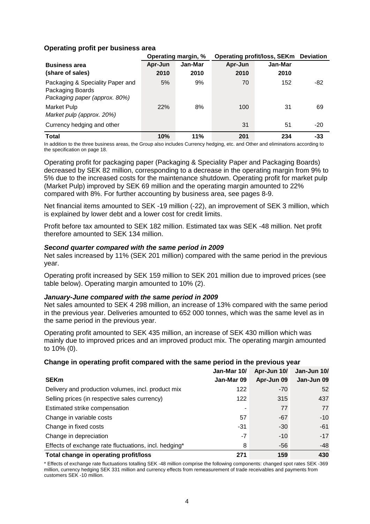#### **Operating profit per business area**

|                                                                                       |         | <b>Operating profit/loss, SEKm Deviation</b><br>Operating margin, % |         |         |       |
|---------------------------------------------------------------------------------------|---------|---------------------------------------------------------------------|---------|---------|-------|
| <b>Business area</b>                                                                  | Apr-Jun | Jan-Mar                                                             | Apr-Jun | Jan-Mar |       |
| (share of sales)                                                                      | 2010    | 2010                                                                | 2010    | 2010    |       |
| Packaging & Speciality Paper and<br>Packaging Boards<br>Packaging paper (approx. 80%) | 5%      | 9%                                                                  | 70      | 152     | -82   |
| Market Pulp<br>Market pulp (approx. 20%)                                              | 22%     | 8%                                                                  | 100     | 31      | 69    |
| Currency hedging and other                                                            |         |                                                                     | 31      | 51      | $-20$ |
| <b>Total</b>                                                                          | 10%     | 11%                                                                 | 201     | 234     | -33   |

In addition to the three business areas, the Group also includes Currency hedging, etc. and Other and eliminations according to the specification on page 18.

Operating profit for packaging paper (Packaging & Speciality Paper and Packaging Boards) decreased by SEK 82 million, corresponding to a decrease in the operating margin from 9% to 5% due to the increased costs for the maintenance shutdown. Operating profit for market pulp (Market Pulp) improved by SEK 69 million and the operating margin amounted to 22% compared with 8%. For further accounting by business area, see pages 8-9.

Net financial items amounted to SEK -19 million (-22), an improvement of SEK 3 million, which is explained by lower debt and a lower cost for credit limits.

Profit before tax amounted to SEK 182 million. Estimated tax was SEK -48 million. Net profit therefore amounted to SEK 134 million.

#### *Second quarter compared with the same period in 2009*

Net sales increased by 11% (SEK 201 million) compared with the same period in the previous year.

Operating profit increased by SEK 159 million to SEK 201 million due to improved prices (see table below). Operating margin amounted to 10% (2).

#### *January-June compared with the same period in 2009*

Net sales amounted to SEK 4 298 million, an increase of 13% compared with the same period in the previous year. Deliveries amounted to 652 000 tonnes, which was the same level as in the same period in the previous year.

Operating profit amounted to SEK 435 million, an increase of SEK 430 million which was mainly due to improved prices and an improved product mix. The operating margin amounted to 10% (0).

#### **Change in operating profit compared with the same period in the previous year**

|                                                       | Jan-Mar 10/ | Apr-Jun 10/ | Jan-Jun 10/ |
|-------------------------------------------------------|-------------|-------------|-------------|
| <b>SEKm</b>                                           | Jan-Mar 09  | Apr-Jun 09  | Jan-Jun 09  |
| Delivery and production volumes, incl. product mix    | 122         | $-70$       | 52          |
| Selling prices (in respective sales currency)         | 122         | 315         | 437         |
| Estimated strike compensation                         | ۰           | 77          | 77          |
| Change in variable costs                              | 57          | $-67$       | $-10$       |
| Change in fixed costs                                 | -31         | $-30$       | $-61$       |
| Change in depreciation                                | $-7$        | $-10$       | $-17$       |
| Effects of exchange rate fluctuations, incl. hedging* | 8           | -56         | -48         |
| Total change in operating profit/loss                 | 271         | 159         | 430         |

\* Effects of exchange rate fluctuations totalling SEK -48 million comprise the following components: changed spot rates SEK -369 million, currency hedging SEK 331 million and currency effects from remeasurement of trade receivables and payments from customers SEK -10 million.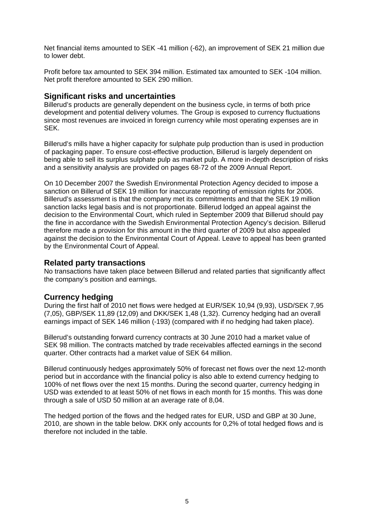Net financial items amounted to SEK -41 million (-62), an improvement of SEK 21 million due to lower debt.

Profit before tax amounted to SEK 394 million. Estimated tax amounted to SEK -104 million. Net profit therefore amounted to SEK 290 million.

#### **Significant risks and uncertainties**

Billerud's products are generally dependent on the business cycle, in terms of both price development and potential delivery volumes. The Group is exposed to currency fluctuations since most revenues are invoiced in foreign currency while most operating expenses are in SEK.

Billerud's mills have a higher capacity for sulphate pulp production than is used in production of packaging paper. To ensure cost-effective production, Billerud is largely dependent on being able to sell its surplus sulphate pulp as market pulp. A more in-depth description of risks and a sensitivity analysis are provided on pages 68-72 of the 2009 Annual Report.

On 10 December 2007 the Swedish Environmental Protection Agency decided to impose a sanction on Billerud of SEK 19 million for inaccurate reporting of emission rights for 2006. Billerud's assessment is that the company met its commitments and that the SEK 19 million sanction lacks legal basis and is not proportionate. Billerud lodged an appeal against the decision to the Environmental Court, which ruled in September 2009 that Billerud should pay the fine in accordance with the Swedish Environmental Protection Agency's decision. Billerud therefore made a provision for this amount in the third quarter of 2009 but also appealed against the decision to the Environmental Court of Appeal. Leave to appeal has been granted by the Environmental Court of Appeal.

#### **Related party transactions**

No transactions have taken place between Billerud and related parties that significantly affect the company's position and earnings.

#### **Currency hedging**

During the first half of 2010 net flows were hedged at EUR/SEK 10,94 (9,93), USD/SEK 7,95 (7,05), GBP/SEK 11,89 (12,09) and DKK/SEK 1,48 (1,32). Currency hedging had an overall earnings impact of SEK 146 million (-193) (compared with if no hedging had taken place).

Billerud's outstanding forward currency contracts at 30 June 2010 had a market value of SEK 98 million. The contracts matched by trade receivables affected earnings in the second quarter. Other contracts had a market value of SEK 64 million.

Billerud continuously hedges approximately 50% of forecast net flows over the next 12-month period but in accordance with the financial policy is also able to extend currency hedging to 100% of net flows over the next 15 months. During the second quarter, currency hedging in USD was extended to at least 50% of net flows in each month for 15 months. This was done through a sale of USD 50 million at an average rate of 8,04.

The hedged portion of the flows and the hedged rates for EUR, USD and GBP at 30 June, 2010, are shown in the table below. DKK only accounts for 0,2% of total hedged flows and is therefore not included in the table.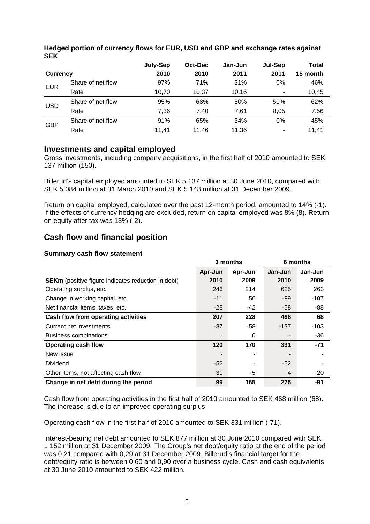|                 |                   | July-Sep | Oct-Dec | Jan-Jun | Jul-Sep | Total    |
|-----------------|-------------------|----------|---------|---------|---------|----------|
| <b>Currency</b> |                   | 2010     | 2010    | 2011    | 2011    | 15 month |
| <b>EUR</b>      | Share of net flow | 97%      | 71%     | 31%     | $0\%$   | 46%      |
|                 | Rate              | 10.70    | 10.37   | 10.16   |         | 10,45    |
| <b>USD</b>      | Share of net flow | 95%      | 68%     | 50%     | 50%     | 62%      |
|                 | Rate              | 7.36     | 7.40    | 7.61    | 8,05    | 7,56     |
| <b>GBP</b>      | Share of net flow | 91%      | 65%     | 34%     | 0%      | 45%      |
|                 | Rate              | 11.41    | 11.46   | 11.36   | ۰       | 11.41    |

#### **Hedged portion of currency flows for EUR, USD and GBP and exchange rates against SEK**

#### **Investments and capital employed**

Gross investments, including company acquisitions, in the first half of 2010 amounted to SEK 137 million (150).

Billerud's capital employed amounted to SEK 5 137 million at 30 June 2010, compared with SEK 5 084 million at 31 March 2010 and SEK 5 148 million at 31 December 2009.

Return on capital employed, calculated over the past 12-month period, amounted to 14% (-1). If the effects of currency hedging are excluded, return on capital employed was 8% (8). Return on equity after tax was 13% (-2).

# **Cash flow and financial position**

#### **Summary cash flow statement**

|                                                           | 3 months       |          | 6 months |         |
|-----------------------------------------------------------|----------------|----------|----------|---------|
|                                                           | Apr-Jun        | Apr-Jun  | Jan-Jun  | Jan-Jun |
| <b>SEKm</b> (positive figure indicates reduction in debt) | 2010           | 2009     | 2010     | 2009    |
| Operating surplus, etc.                                   | 246            | 214      | 625      | 263     |
| Change in working capital, etc.                           | $-11$          | 56       | -99      | $-107$  |
| Net financial items, taxes, etc.                          | $-28$          | -42      | -58      | -88     |
| Cash flow from operating activities                       | 207            | 228      | 468      | 68      |
| Current net investments                                   | $-87$          | -58      | $-137$   | $-103$  |
| <b>Business combinations</b>                              |                | $\Omega$ |          | $-36$   |
| <b>Operating cash flow</b>                                | 120            | 170      | 331      | $-71$   |
| New issue                                                 | $\blacksquare$ |          |          |         |
| Dividend                                                  | $-52$          |          | -52      |         |
| Other items, not affecting cash flow                      | 31             | -5       | -4       | -20     |
| Change in net debt during the period                      | 99             | 165      | 275      | $-91$   |

Cash flow from operating activities in the first half of 2010 amounted to SEK 468 million (68). The increase is due to an improved operating surplus.

Operating cash flow in the first half of 2010 amounted to SEK 331 million (-71).

Interest-bearing net debt amounted to SEK 877 million at 30 June 2010 compared with SEK 1 152 million at 31 December 2009. The Group's net debt/equity ratio at the end of the period was 0,21 compared with 0,29 at 31 December 2009. Billerud's financial target for the debt/equity ratio is between 0,60 and 0,90 over a business cycle. Cash and cash equivalents at 30 June 2010 amounted to SEK 422 million.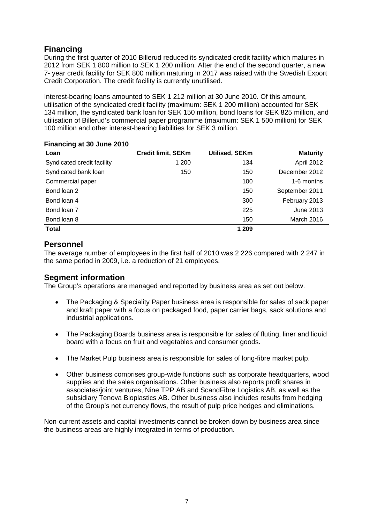# **Financing**

During the first quarter of 2010 Billerud reduced its syndicated credit facility which matures in 2012 from SEK 1 800 million to SEK 1 200 million. After the end of the second quarter, a new 7- year credit facility for SEK 800 million maturing in 2017 was raised with the Swedish Export Credit Corporation. The credit facility is currently unutilised.

Interest-bearing loans amounted to SEK 1 212 million at 30 June 2010. Of this amount, utilisation of the syndicated credit facility (maximum: SEK 1 200 million) accounted for SEK 134 million, the syndicated bank loan for SEK 150 million, bond loans for SEK 825 million, and utilisation of Billerud's commercial paper programme (maximum: SEK 1 500 million) for SEK 100 million and other interest-bearing liabilities for SEK 3 million.

#### **Financing at 30 June 2010**

| Loan                       | <b>Credit limit, SEKm</b> | <b>Utilised, SEKm</b> | <b>Maturity</b> |
|----------------------------|---------------------------|-----------------------|-----------------|
| Syndicated credit facility | 1 200                     | 134                   | April 2012      |
| Syndicated bank loan       | 150                       | 150                   | December 2012   |
| Commercial paper           |                           | 100                   | 1-6 months      |
| Bond loan 2                |                           | 150                   | September 2011  |
| Bond loan 4                |                           | 300                   | February 2013   |
| Bond loan 7                |                           | 225                   | June 2013       |
| Bond loan 8                |                           | 150                   | March 2016      |
| <b>Total</b>               |                           | 1 209                 |                 |

#### **Personnel**

The average number of employees in the first half of 2010 was 2 226 compared with 2 247 in the same period in 2009, i.e. a reduction of 21 employees.

#### **Segment information**

The Group's operations are managed and reported by business area as set out below.

- The Packaging & Speciality Paper business area is responsible for sales of sack paper and kraft paper with a focus on packaged food, paper carrier bags, sack solutions and industrial applications.
- The Packaging Boards business area is responsible for sales of fluting, liner and liquid board with a focus on fruit and vegetables and consumer goods.
- The Market Pulp business area is responsible for sales of long-fibre market pulp.
- Other business comprises group-wide functions such as corporate headquarters, wood supplies and the sales organisations. Other business also reports profit shares in associates/joint ventures, Nine TPP AB and ScandFibre Logistics AB, as well as the subsidiary Tenova Bioplastics AB. Other business also includes results from hedging of the Group's net currency flows, the result of pulp price hedges and eliminations.

Non-current assets and capital investments cannot be broken down by business area since the business areas are highly integrated in terms of production.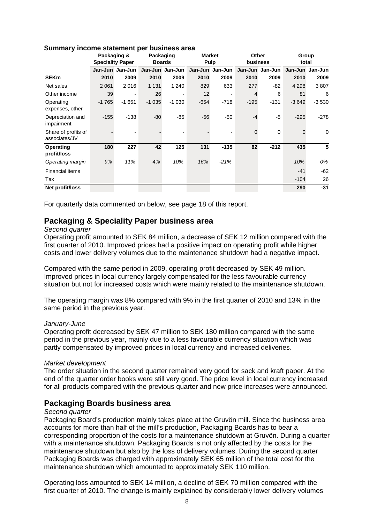|                                      | Packaging & | <b>Speciality Paper</b> | Packaging | <b>Boards</b>   |        | <b>Market</b><br><b>Pulp</b> | Other<br>business |             | Group<br>total                  |         |
|--------------------------------------|-------------|-------------------------|-----------|-----------------|--------|------------------------------|-------------------|-------------|---------------------------------|---------|
|                                      |             | Jan-Jun Jan-Jun         |           | Jan-Jun Jan-Jun |        | Jan-Jun Jan-Jun              |                   |             | Jan-Jun Jan-Jun Jan-Jun Jan-Jun |         |
| <b>SEKm</b>                          | 2010        | 2009                    | 2010      | 2009            | 2010   | 2009                         | 2010              | 2009        | 2010                            | 2009    |
| Net sales                            | 2 0 6 1     | 2016                    | 1 1 3 1   | 1 2 4 0         | 829    | 633                          | 277               | -82         | 4 2 9 8                         | 3807    |
| Other income                         | 39          |                         | 26        |                 | 12     |                              |                   | 6           | 81                              | 6       |
| Operating<br>expenses, other         | $-1765$     | $-1651$                 | $-1035$   | $-1030$         | $-654$ | $-718$                       | $-195$            | $-131$      | $-3649$                         | $-3530$ |
| Depreciation and<br>impairment       | $-155$      | $-138$                  | $-80$     | $-85$           | $-56$  | $-50$                        | $-4$              | $-5$        | $-295$                          | $-278$  |
| Share of profits of<br>associates/JV |             |                         |           |                 |        |                              | 0                 | $\mathbf 0$ | $\mathbf 0$                     | 0       |
| Operating<br>profit/loss             | 180         | 227                     | 42        | 125             | 131    | $-135$                       | 82                | $-212$      | 435                             | 5       |
| Operating margin                     | 9%          | 11%                     | 4%        | 10%             | 16%    | $-21%$                       |                   |             | 10%                             | 0%      |
| <b>Financial items</b>               |             |                         |           |                 |        |                              |                   |             | $-41$                           | $-62$   |
| Tax                                  |             |                         |           |                 |        |                              |                   |             | $-104$                          | 26      |
| Net profit/loss                      |             |                         |           |                 |        |                              |                   |             | 290                             | $-31$   |

#### **Summary income statement per business area**

For quarterly data commented on below, see page 18 of this report.

#### **Packaging & Speciality Paper business area**

#### *Second quarter*

Operating profit amounted to SEK 84 million, a decrease of SEK 12 million compared with the first quarter of 2010. Improved prices had a positive impact on operating profit while higher costs and lower delivery volumes due to the maintenance shutdown had a negative impact.

Compared with the same period in 2009, operating profit decreased by SEK 49 million. Improved prices in local currency largely compensated for the less favourable currency situation but not for increased costs which were mainly related to the maintenance shutdown.

The operating margin was 8% compared with 9% in the first quarter of 2010 and 13% in the same period in the previous year.

#### *January-June*

Operating profit decreased by SEK 47 million to SEK 180 million compared with the same period in the previous year, mainly due to a less favourable currency situation which was partly compensated by improved prices in local currency and increased deliveries.

#### *Market development*

The order situation in the second quarter remained very good for sack and kraft paper. At the end of the quarter order books were still very good. The price level in local currency increased for all products compared with the previous quarter and new price increases were announced.

#### **Packaging Boards business area**

#### *Second quarter*

Packaging Board's production mainly takes place at the Gruvön mill. Since the business area accounts for more than half of the mill's production, Packaging Boards has to bear a corresponding proportion of the costs for a maintenance shutdown at Gruvön. During a quarter with a maintenance shutdown, Packaging Boards is not only affected by the costs for the maintenance shutdown but also by the loss of delivery volumes. During the second quarter Packaging Boards was charged with approximately SEK 65 million of the total cost for the maintenance shutdown which amounted to approximately SEK 110 million.

Operating loss amounted to SEK 14 million, a decline of SEK 70 million compared with the first quarter of 2010. The change is mainly explained by considerably lower delivery volumes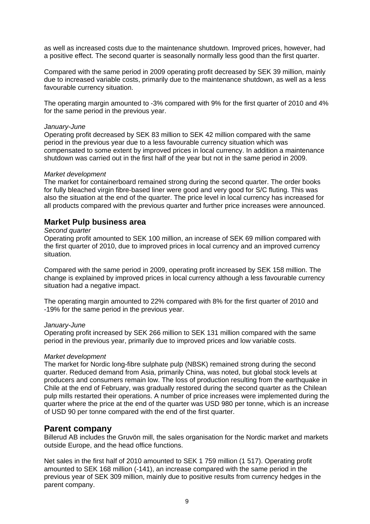as well as increased costs due to the maintenance shutdown. Improved prices, however, had a positive effect. The second quarter is seasonally normally less good than the first quarter.

Compared with the same period in 2009 operating profit decreased by SEK 39 million, mainly due to increased variable costs, primarily due to the maintenance shutdown, as well as a less favourable currency situation.

The operating margin amounted to -3% compared with 9% for the first quarter of 2010 and 4% for the same period in the previous year.

#### *January-June*

Operating profit decreased by SEK 83 million to SEK 42 million compared with the same period in the previous year due to a less favourable currency situation which was compensated to some extent by improved prices in local currency. In addition a maintenance shutdown was carried out in the first half of the year but not in the same period in 2009.

#### *Market development*

The market for containerboard remained strong during the second quarter. The order books for fully bleached virgin fibre-based liner were good and very good for S/C fluting. This was also the situation at the end of the quarter. The price level in local currency has increased for all products compared with the previous quarter and further price increases were announced.

#### **Market Pulp business area**

#### *Second quarter*

Operating profit amounted to SEK 100 million, an increase of SEK 69 million compared with the first quarter of 2010, due to improved prices in local currency and an improved currency situation.

Compared with the same period in 2009, operating profit increased by SEK 158 million. The change is explained by improved prices in local currency although a less favourable currency situation had a negative impact.

The operating margin amounted to 22% compared with 8% for the first quarter of 2010 and -19% for the same period in the previous year.

#### *January-June*

Operating profit increased by SEK 266 million to SEK 131 million compared with the same period in the previous year, primarily due to improved prices and low variable costs.

#### *Market development*

The market for Nordic long-fibre sulphate pulp (NBSK) remained strong during the second quarter. Reduced demand from Asia, primarily China, was noted, but global stock levels at producers and consumers remain low. The loss of production resulting from the earthquake in Chile at the end of February, was gradually restored during the second quarter as the Chilean pulp mills restarted their operations. A number of price increases were implemented during the quarter where the price at the end of the quarter was USD 980 per tonne, which is an increase of USD 90 per tonne compared with the end of the first quarter.

#### **Parent company**

Billerud AB includes the Gruvön mill, the sales organisation for the Nordic market and markets outside Europe, and the head office functions.

Net sales in the first half of 2010 amounted to SEK 1 759 million (1 517). Operating profit amounted to SEK 168 million (-141), an increase compared with the same period in the previous year of SEK 309 million, mainly due to positive results from currency hedges in the parent company.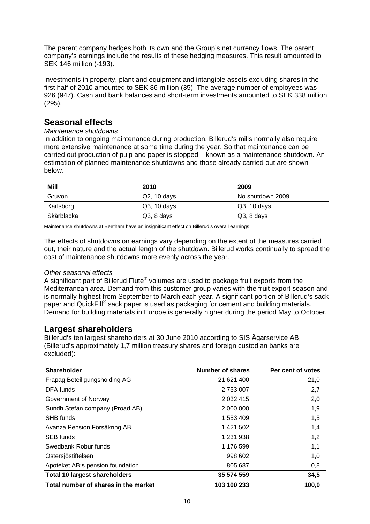The parent company hedges both its own and the Group's net currency flows. The parent company's earnings include the results of these hedging measures. This result amounted to SEK 146 million (-193).

Investments in property, plant and equipment and intangible assets excluding shares in the first half of 2010 amounted to SEK 86 million (35). The average number of employees was 926 (947). Cash and bank balances and short-term investments amounted to SEK 338 million (295).

# **Seasonal effects**

#### *Maintenance shutdowns*

In addition to ongoing maintenance during production, Billerud's mills normally also require more extensive maintenance at some time during the year. So that maintenance can be carried out production of pulp and paper is stopped – known as a maintenance shutdown. An estimation of planned maintenance shutdowns and those already carried out are shown below.

| Mill       | 2010         | 2009             |
|------------|--------------|------------------|
| Gruvön     | Q2, 10 days  | No shutdown 2009 |
| Karlsborg  | Q3, 10 days  | $Q3$ , 10 days   |
| Skärblacka | $Q3, 8$ days | $Q3, 8$ days     |

Maintenance shutdowns at Beetham have an insignificant effect on Billerud's overall earnings.

The effects of shutdowns on earnings vary depending on the extent of the measures carried out, their nature and the actual length of the shutdown. Billerud works continually to spread the cost of maintenance shutdowns more evenly across the year.

#### *Other seasonal effects*

A significant part of Billerud Flute<sup>®</sup> volumes are used to package fruit exports from the Mediterranean area. Demand from this customer group varies with the fruit export season and is normally highest from September to March each year. A significant portion of Billerud's sack paper and QuickFill<sup>®</sup> sack paper is used as packaging for cement and building materials. Demand for building materials in Europe is generally higher during the period May to October*.*

# **Largest shareholders**

Billerud's ten largest shareholders at 30 June 2010 according to SIS Ägarservice AB (Billerud's approximately 1,7 million treasury shares and foreign custodian banks are excluded):

| Shareholder                          | Number of shares | Per cent of votes |
|--------------------------------------|------------------|-------------------|
| Frapag Beteiligungsholding AG        | 21 621 400       | 21,0              |
| DFA funds                            | 2 733 007        | 2,7               |
| Government of Norway                 | 2 0 3 2 4 1 5    | 2,0               |
| Sundh Stefan company (Proad AB)      | 2 000 000        | 1,9               |
| SHB funds                            | 1 553 409        | 1,5               |
| Avanza Pension Försäkring AB         | 1 421 502        | 1,4               |
| <b>SEB</b> funds                     | 1 231 938        | 1,2               |
| Swedbank Robur funds                 | 1 176 599        | 1,1               |
| Östersjöstiftelsen                   | 998 602          | 1,0               |
| Apoteket AB:s pension foundation     | 805 687          | 0,8               |
| <b>Total 10 largest shareholders</b> | 35 574 559       | 34,5              |
| Total number of shares in the market | 103 100 233      | 100,0             |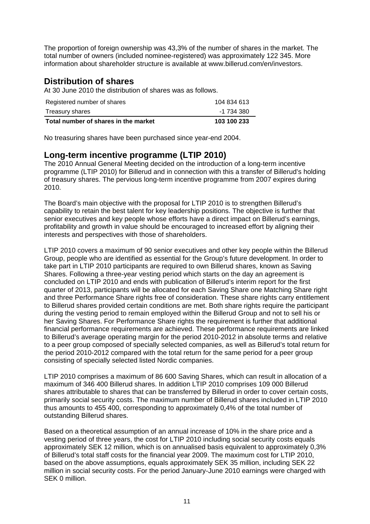The proportion of foreign ownership was 43,3% of the number of shares in the market. The total number of owners (included nominee-registered) was approximately 122 345. More information about shareholder structure is available at www.billerud.com/en/investors.

# **Distribution of shares**

At 30 June 2010 the distribution of shares was as follows.

| Registered number of shares          | 104 834 613 |
|--------------------------------------|-------------|
| Treasury shares                      | -1 734 380  |
| Total number of shares in the market | 103 100 233 |

No treasuring shares have been purchased since year-end 2004.

# **Long-term incentive programme (LTIP 2010)**

The 2010 Annual General Meeting decided on the introduction of a long-term incentive programme (LTIP 2010) for Billerud and in connection with this a transfer of Billerud's holding of treasury shares. The pervious long-term incentive programme from 2007 expires during 2010.

The Board's main objective with the proposal for LTIP 2010 is to strengthen Billerud's capability to retain the best talent for key leadership positions. The objective is further that senior executives and key people whose efforts have a direct impact on Billerud's earnings, profitability and growth in value should be encouraged to increased effort by aligning their interests and perspectives with those of shareholders.

LTIP 2010 covers a maximum of 90 senior executives and other key people within the Billerud Group, people who are identified as essential for the Group's future development. In order to take part in LTIP 2010 participants are required to own Billerud shares, known as Saving Shares. Following a three-year vesting period which starts on the day an agreement is concluded on LTIP 2010 and ends with publication of Billerud's interim report for the first quarter of 2013, participants will be allocated for each Saving Share one Matching Share right and three Performance Share rights free of consideration. These share rights carry entitlement to Billerud shares provided certain conditions are met. Both share rights require the participant during the vesting period to remain employed within the Billerud Group and not to sell his or her Saving Shares. For Performance Share rights the requirement is further that additional financial performance requirements are achieved. These performance requirements are linked to Billerud's average operating margin for the period 2010-2012 in absolute terms and relative to a peer group composed of specially selected companies, as well as Billerud's total return for the period 2010-2012 compared with the total return for the same period for a peer group consisting of specially selected listed Nordic companies.

LTIP 2010 comprises a maximum of 86 600 Saving Shares, which can result in allocation of a maximum of 346 400 Billerud shares. In addition LTIP 2010 comprises 109 000 Billerud shares attributable to shares that can be transferred by Billerud in order to cover certain costs, primarily social security costs. The maximum number of Billerud shares included in LTIP 2010 thus amounts to 455 400, corresponding to approximately 0,4% of the total number of outstanding Billerud shares.

Based on a theoretical assumption of an annual increase of 10% in the share price and a vesting period of three years, the cost for LTIP 2010 including social security costs equals approximately SEK 12 million, which is on annualised basis equivalent to approximately 0,3% of Billerud's total staff costs for the financial year 2009. The maximum cost for LTIP 2010, based on the above assumptions, equals approximately SEK 35 million, including SEK 22 million in social security costs. For the period January-June 2010 earnings were charged with SEK 0 million.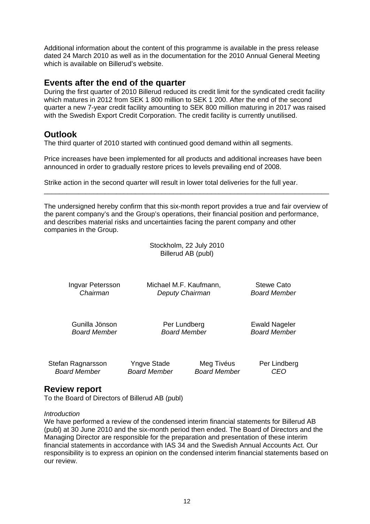Additional information about the content of this programme is available in the press release dated 24 March 2010 as well as in the documentation for the 2010 Annual General Meeting which is available on Billerud's website.

### **Events after the end of the quarter**

During the first quarter of 2010 Billerud reduced its credit limit for the syndicated credit facility which matures in 2012 from SEK 1 800 million to SEK 1 200. After the end of the second quarter a new 7-year credit facility amounting to SEK 800 million maturing in 2017 was raised with the Swedish Export Credit Corporation. The credit facility is currently unutilised.

# **Outlook**

The third quarter of 2010 started with continued good demand within all segments.

Price increases have been implemented for all products and additional increases have been announced in order to gradually restore prices to levels prevailing end of 2008.

Strike action in the second quarter will result in lower total deliveries for the full year.

The undersigned hereby confirm that this six-month report provides a true and fair overview of the parent company's and the Group's operations, their financial position and performance, and describes material risks and uncertainties facing the parent company and other companies in the Group.

\_\_\_\_\_\_\_\_\_\_\_\_\_\_\_\_\_\_\_\_\_\_\_\_\_\_\_\_\_\_\_\_\_\_\_\_\_\_\_\_\_\_\_\_\_\_\_\_\_\_\_\_\_\_\_\_\_\_\_\_\_\_\_\_\_\_\_\_\_\_\_\_\_\_\_

|                                |                        | Stockholm, 22 July 2010<br>Billerud AB (publ) |              |
|--------------------------------|------------------------|-----------------------------------------------|--------------|
| Ingvar Petersson               | Michael M.F. Kaufmann, |                                               | Stewe Cato   |
| Chairman                       | Deputy Chairman        |                                               | Board Member |
| Gunilla Jönson<br>Board Member |                        | Per Lundberg<br><b>Board Member</b>           |              |
| Stefan Ragnarsson              | Yngve Stade            | Meg Tivéus                                    | Per Lindberg |
| <b>Board Member</b>            | <b>Board Member</b>    | <b>Board Member</b>                           | CEO          |

# **Review report**

To the Board of Directors of Billerud AB (publ)

#### *Introduction*

We have performed a review of the condensed interim financial statements for Billerud AB (publ) at 30 June 2010 and the six-month period then ended. The Board of Directors and the Managing Director are responsible for the preparation and presentation of these interim financial statements in accordance with IAS 34 and the Swedish Annual Accounts Act. Our responsibility is to express an opinion on the condensed interim financial statements based on our review.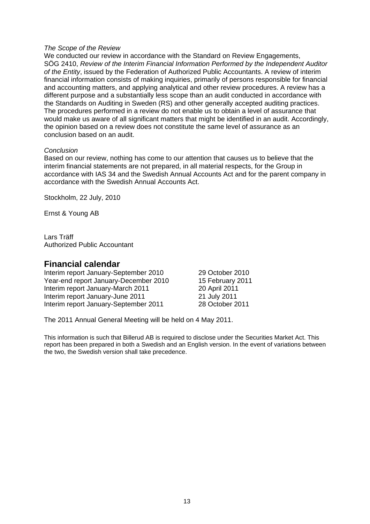#### *The Scope of the Review*

We conducted our review in accordance with the Standard on Review Engagements, SÖG 2410, *Review of the Interim Financial Information Performed by the Independent Auditor of the Entity*, issued by the Federation of Authorized Public Accountants. A review of interim financial information consists of making inquiries, primarily of persons responsible for financial and accounting matters, and applying analytical and other review procedures. A review has a different purpose and a substantially less scope than an audit conducted in accordance with the Standards on Auditing in Sweden (RS) and other generally accepted auditing practices. The procedures performed in a review do not enable us to obtain a level of assurance that would make us aware of all significant matters that might be identified in an audit. Accordingly, the opinion based on a review does not constitute the same level of assurance as an conclusion based on an audit.

#### *Conclusion*

Based on our review, nothing has come to our attention that causes us to believe that the interim financial statements are not prepared, in all material respects, for the Group in accordance with IAS 34 and the Swedish Annual Accounts Act and for the parent company in accordance with the Swedish Annual Accounts Act.

Stockholm, 22 July, 2010

Ernst & Young AB

Lars Träff Authorized Public Accountant

#### **Financial calendar**

Interim report January-September 2010 29 October 2010 Year-end report January-December 2010 15 February 2011 Interim report January-March 2011 20 April 2011 Interim report January-June 2011 21 July 2011 Interim report January-September 2011 28 October 2011

The 2011 Annual General Meeting will be held on 4 May 2011.

This information is such that Billerud AB is required to disclose under the Securities Market Act. This report has been prepared in both a Swedish and an English version. In the event of variations between the two, the Swedish version shall take precedence.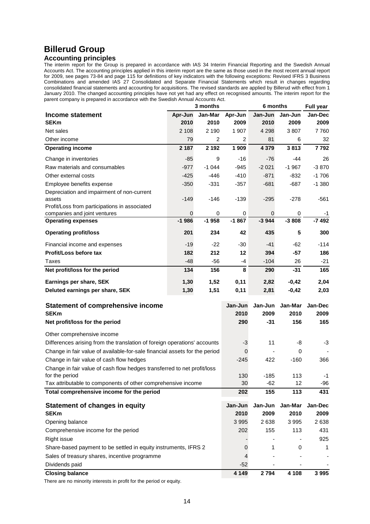# **Billerud Group**

#### **Accounting principles**

The interim report for the Group is prepared in accordance with IAS 34 Interim Financial Reporting and the Swedish Annual Accounts Act. The accounting principles applied in this interim report are the same as those used in the most recent annual report for 2009, see pages 73-84 and page 115 for definitions of key indicators with the following exceptions: Revised IFRS 3 Business Combinations and amended IAS 27 Consolidated and Separate Financial Statements which result in changes regarding consolidated financial statements and accounting for acquisitions. The revised standards are applied by Billerud with effect from 1 January 2010. The changed accounting principles have not yet had any effect on recognised amounts. The interim report for the parent company is prepared in accordance with the Swedish Annual Accounts Act.

|                                                                                                       |                | 3 months       |                 | 6 months        | <b>Full year</b> |                 |
|-------------------------------------------------------------------------------------------------------|----------------|----------------|-----------------|-----------------|------------------|-----------------|
| Income statement                                                                                      | Apr-Jun        | Jan-Mar        | Apr-Jun         | Jan-Jun         | Jan-Jun          | Jan-Dec         |
| <b>SEKm</b>                                                                                           | 2010           | 2010           | 2009            | 2010            | 2009             | 2009            |
| Net sales                                                                                             | 2 1 0 8        | 2 1 9 0        | 1 907           | 4 2 9 8         | 3807             | 7760            |
| Other income                                                                                          | 79             | $\overline{2}$ | 2               | 81              | 6                | 32              |
| <b>Operating income</b>                                                                               | 2 187          | 2 1 9 2        | 1 9 0 9         | 4 3 7 9         | 3813             | 7792            |
| Change in inventories                                                                                 | $-85$          | 9              | $-16$           | $-76$           | $-44$            | 26              |
| Raw materials and consumables                                                                         | $-977$         | $-1044$        | -945            | $-2021$         | $-1967$          | $-3870$         |
| Other external costs                                                                                  | $-425$         | $-446$         | $-410$          | $-871$          | $-832$           | $-1706$         |
| Employee benefits expense                                                                             | $-350$         | $-331$         | $-357$          | $-681$          | $-687$           | $-1.380$        |
| Depreciation and impairment of non-current<br>assets<br>Profit/Loss from participations in associated | $-149$         | $-146$         | $-139$          | $-295$          | $-278$           | $-561$          |
| companies and joint ventures                                                                          | $\overline{0}$ | 0              | 0               | 0               | 0                | -1              |
| <b>Operating expenses</b>                                                                             | $-1986$        | $-1958$        | $-1867$         | $-3944$         | $-3808$          | $-7492$         |
| <b>Operating profit/loss</b>                                                                          | 201            | 234            | 42              | 435             | 5                | 300             |
| Financial income and expenses                                                                         | -19            | $-22$          | -30             | -41             | $-62$            | $-114$          |
| Profit/Loss before tax                                                                                | 182            | 212            | 12              | 394             | $-57$            | 186             |
| Taxes                                                                                                 | $-48$          | $-56$          | $-4$            | $-104$          | 26               | $-21$           |
| Net profit/loss for the period                                                                        | 134            | 156            | 8               | 290             | $-31$            | 165             |
| Earnings per share, SEK                                                                               | 1,30           | 1,52           | 0,11            | 2,82            | $-0,42$          | 2,04            |
| Deluted earnings per share, SEK                                                                       | 1,30           | 1,51           | 0,11            | 2,81            | $-0,42$          | 2,03            |
| <b>Statement of comprehensive income</b><br><b>SEKm</b>                                               |                |                | Jan-Jun<br>2010 | Jan-Jun<br>2009 | Jan-Mar<br>2010  | Jan-Dec<br>2009 |
| Net profit/loss for the period                                                                        |                |                | 290             | $-31$           | 156              | 165             |
| Other comprehensive income                                                                            |                |                |                 |                 |                  |                 |
| Differences arising from the translation of foreign operations' accounts                              |                |                | -3              | 11              | -8               | -3              |
| Change in fair value of available-for-sale financial assets for the period                            |                |                | 0               |                 | 0                |                 |
| Change in fair value of cash flow hedges                                                              |                |                | $-245$          | 422             | $-160$           | 366             |
| Change in fair value of cash flow hedges transferred to net profit/loss                               |                |                |                 |                 |                  |                 |
| for the period                                                                                        |                |                | 130             | $-185$          | 113              | -1              |
| Tax attributable to components of other comprehensive income                                          |                |                | 30              | $-62$           | 12               | -96             |
| Total comprehensive income for the period                                                             |                |                | 202             | 155             | 113              | 431             |

| Statement of changes in equity                                  | Jan-Jun | Jan-Jun | Jan-Mar | Jan-Dec |
|-----------------------------------------------------------------|---------|---------|---------|---------|
| <b>SEKm</b>                                                     | 2010    | 2009    | 2010    | 2009    |
| Opening balance                                                 | 3 9 9 5 | 2638    | 3995    | 2638    |
| Comprehensive income for the period                             | 202     | 155     | 113     | 431     |
| Right issue                                                     |         |         |         | 925     |
| Share-based payment to be settled in equity instruments, IFRS 2 | 0       |         | 0       | 1       |
| Sales of treasury shares, incentive programme                   | 4       |         |         |         |
| Dividends paid                                                  | $-52$   |         |         |         |
| <b>Closing balance</b>                                          | 4 1 4 9 | 2794    | 4 108   | 3995    |

There are no minority interests in profit for the period or equity.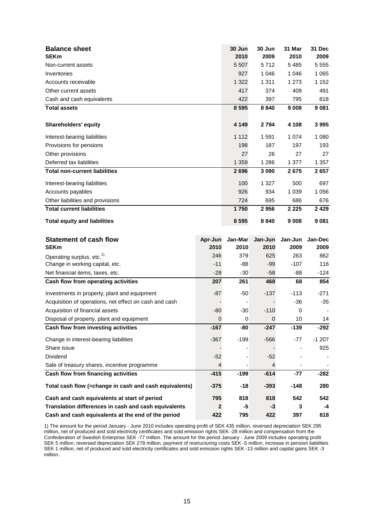| <b>Balance sheet</b><br><b>SEKm</b>                                          |              | 30 Jun<br>2010       | 30 Jun<br>2009 | 31 Mar<br>2010 | 31 Dec<br>2009 |
|------------------------------------------------------------------------------|--------------|----------------------|----------------|----------------|----------------|
| Non-current assets                                                           |              | 5 5 0 7              | 5712           | 5485           | 5 5 5 5        |
| Inventories                                                                  |              | 927                  | 1 0 4 6        | 1 0 4 6        | 1 0 6 5        |
| Accounts receivable                                                          |              | 1 3 2 2              | 1 3 1 1        | 1 2 7 3        | 1 1 5 2        |
| Other current assets                                                         |              | 417                  | 374            | 409            | 491            |
| Cash and cash equivalents                                                    |              | 422                  | 397            | 795            | 818            |
| <b>Total assets</b>                                                          |              | 8 5 9 5              | 8840           | 9 0 0 8        | 9 0 8 1        |
|                                                                              |              |                      |                |                |                |
| <b>Shareholders' equity</b>                                                  |              | 4 1 4 9              | 2794           | 4 1 0 8        | 3995           |
| Interest-bearing liabilities                                                 |              | 1 1 1 2              | 1591           | 1 0 7 4        | 1 0 8 0        |
| Provisions for pensions                                                      |              | 198                  | 187            | 197            | 193            |
| Other provisions                                                             |              | 27                   | 26             | 27             | 27             |
| Deferred tax liabilities                                                     |              | 1 3 5 9              | 1 2 8 6        | 1 377          | 1 357          |
| <b>Total non-current liabilities</b>                                         |              | 2696                 | 3 0 9 0        | 2675           | 2657           |
| Interest-bearing liabilities                                                 |              | 100                  | 1 3 2 7        | 500            | 697            |
| Accounts payables                                                            |              | 926                  | 934            | 1 0 3 9        | 1 0 5 6        |
| Other liabilities and provisions                                             |              | 724                  | 695            | 686            | 676            |
| <b>Total current liabilities</b>                                             |              | 1750                 | 2956           | 2 2 2 5        | 2 4 2 9        |
| <b>Total equity and liabilities</b>                                          |              | 8 5 9 5              | 8840           | 9 0 0 8        | 9 0 8 1        |
|                                                                              |              |                      |                |                |                |
| <b>Statement of cash flow</b>                                                | Apr-Jun      | Jan-Mar              | Jan-Jun        | Jan-Jun        | Jan-Dec        |
| <b>SEKm</b>                                                                  | 2010         | 2010                 | 2010           | 2009           | 2009           |
| Operating surplus, etc. <sup>1)</sup>                                        | 246          | 379                  | 625            | 263            | 862            |
| Change in working capital, etc.                                              | $-11$        | $-88$                | $-99$          | $-107$         | 116<br>$-124$  |
| Net financial items, taxes, etc.<br>Cash flow from operating activities      | $-28$<br>207 | $-30$<br>261         | $-58$<br>468   | -88<br>68      | 854            |
|                                                                              |              |                      |                |                |                |
| Investments in property, plant and equipment                                 | $-87$        | $-50$                | $-137$         | $-113$         | $-271$         |
| Acquisition of operations, net effect on cash and cash                       |              |                      | $-110$         | $-36$<br>0     | $-35$          |
| Acquisition of financial assets<br>Disposal of property, plant and equipment | $-80$<br>0   | $-30$<br>$\mathbf 0$ | 0              | 10             | 14             |
| Cash flow from investing activities                                          | $-167$       | -80                  | $-247$         | $-139$         | $-292$         |
| Change in interest-bearing liabilities                                       | $-367$       | $-199$               | $-566$         | $-77$          | $-1207$        |
| Share issue                                                                  |              |                      |                |                | 925            |
| Dividend                                                                     | $-52$        |                      | $-52$          |                |                |
| Sale of treasury shares, incentive programme                                 | 4            |                      | 4              |                |                |
| Cash flow from financing activities                                          | $-415$       | $-199$               | $-614$         | $-77$          | $-282$         |
| Total cash flow (=change in cash and cash equivalents)                       | $-375$       | $-18$                | $-393$         | $-148$         | 280            |
| Cash and cash equivalents at start of period                                 | 795          | 818                  | 818            | 542            | 542            |
| Translation differences in cash and cash equivalents                         | $\mathbf{2}$ | -5                   | $-3$           | 3              | -4             |

1) The amount for the period January - June 2010 includes operating profit of SEK 435 million, reversed depreciation SEK 295 million, net of produced and sold electricity certificates and sold emission rights SEK -28 million and compensation from the Confederation of Swedish Enterprise SEK -77 million. The amount for the period January - June 2009 includes operating profit SEK 5 million, reversed depreciation SEK 278 million, payment of restructuring costs SEK -5 million, increase in pension liabilities SEK 1 million, net of produced and sold electricity certificates and sold emission rights SEK -13 million and capital gains SEK -3 million.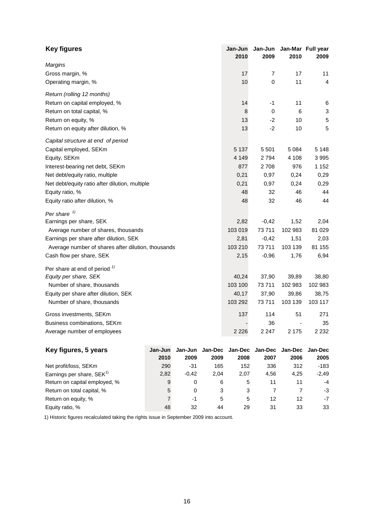| <b>Key figures</b>                                 |         |         |         | Jan-Jun<br>2010 | Jan-Jun<br>2009 | 2010    | Jan-Mar Full year<br>2009 |
|----------------------------------------------------|---------|---------|---------|-----------------|-----------------|---------|---------------------------|
| Margins                                            |         |         |         |                 |                 |         |                           |
| Gross margin, %                                    |         |         |         | 17              | 7               | 17      | 11                        |
| Operating margin, %                                |         |         |         | 10              | 0               | 11      | 4                         |
| Return (rolling 12 months)                         |         |         |         |                 |                 |         |                           |
| Return on capital employed, %                      |         |         |         | 14              | $-1$            | 11      | 6                         |
| Return on total capital, %                         |         |         |         | 8               | 0               | 6       | $\ensuremath{\mathsf{3}}$ |
| Return on equity, %                                |         |         |         | 13              | $-2$            | 10      | 5                         |
| Return on equity after dilution, %                 |         |         |         | 13              | $-2$            | 10      | 5                         |
| Capital structure at end of period                 |         |         |         |                 |                 |         |                           |
| Capital employed, SEKm                             |         |         |         | 5 1 3 7         | 5501            | 5 0 8 4 | 5 1 4 8                   |
| Equity, SEKm                                       |         |         |         | 4 1 4 9         | 2794            | 4 108   | 3995                      |
| Interest-bearing net debt, SEKm                    |         |         |         | 877             | 2708            | 976     | 1 1 5 2                   |
| Net debt/equity ratio, multiple                    |         |         |         | 0,21            | 0,97            | 0,24    | 0,29                      |
| Net debt/equity ratio after dilution, multiple     |         |         |         | 0,21            | 0,97            | 0,24    | 0,29                      |
| Equity ratio, %                                    |         |         |         | 48              | 32              | 46      | 44                        |
| Equity ratio after dilution, %                     |         |         |         | 48              | 32              | 46      | 44                        |
| Per share <sup>1)</sup>                            |         |         |         |                 |                 |         |                           |
| Earnings per share, SEK                            |         |         |         | 2,82            | $-0,42$         | 1,52    | 2,04                      |
| Average number of shares, thousands                |         |         |         | 103 019         | 73711           | 102 983 | 81 0 29                   |
| Earnings per share after dilution, SEK             |         |         |         | 2,81            | $-0,42$         | 1,51    | 2,03                      |
| Average number of shares after dilution, thousands |         |         |         | 103 210         | 73711           | 103 139 | 81 155                    |
| Cash flow per share, SEK                           |         |         |         | 2,15            | $-0,96$         | 1,76    | 6,94                      |
| Per share at end of period $\frac{1}{1}$           |         |         |         |                 |                 |         |                           |
| Equity per share, SEK                              |         |         |         | 40,24           | 37,90           | 39,89   | 38,80                     |
| Number of share, thousands                         |         |         |         | 103 100         | 73711           | 102 983 | 102 983                   |
| Equity per share after dilution, SEK               |         |         |         | 40,17           | 37,90           | 39,86   | 38,75                     |
| Number of share, thousands                         |         |         |         | 103 292         | 73711           | 103 139 | 103 117                   |
| Gross investments, SEKm                            |         |         |         | 137             | 114             | 51      | 271                       |
| Business combinations, SEKm                        |         |         |         |                 | 36              |         | 35                        |
| Average number of employees                        |         |         |         | 2 2 2 6         | 2 2 4 7         | 2 1 7 5 | 2 2 3 2                   |
| Key figures, 5 years                               | Jan-Jun | Jan-Jun | Jan-Dec | Jan-Dec         | Jan-Dec         | Jan-Dec | Jan-Dec                   |
|                                                    | 2010    | 2009    | 2009    | 2008            | 2007            | 2006    | 2005                      |

|                                       | 2010 | 2009    | 2009 | 2008 | 2007 | 2006 | 2005    |
|---------------------------------------|------|---------|------|------|------|------|---------|
| Net profit/loss, SEKm                 | 290  | -31     | 165  | 152  | 336  | 312  | $-183$  |
| Earnings per share, SEK <sup>1)</sup> | 2,82 | $-0.42$ | 2.04 | 2.07 | 4.56 | 4,25 | $-2,49$ |
| Return on capital employed, %         | 9    | 0       | 6    | 5    |      | 11   | -4      |
| Return on total capital, %            | 5    | 0       | 3    |      |      |      | -3      |
| Return on equity, %                   |      | -1      | 5    | 5    | 12   | 12   | -7      |
| Equity ratio, %                       | 48   | 32      | 44   | 29   | 31   | 33   | 33      |

1) Historic figures recalculated taking the rights issue in September 2009 into account.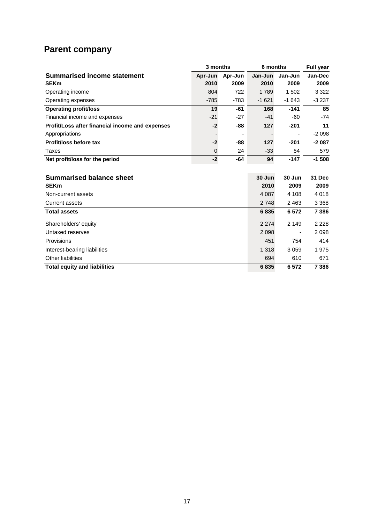# **Parent company**

|                                                 | 3 months    |         | 6 months | <b>Full year</b> |               |
|-------------------------------------------------|-------------|---------|----------|------------------|---------------|
| <b>Summarised income statement</b>              | Apr-Jun     | Apr-Jun | Jan-Jun  | Jan-Jun          | Jan-Dec       |
| <b>SEKm</b>                                     | 2010        | 2009    | 2010     | 2009             | 2009          |
| Operating income                                | 804         | 722     | 1789     | 1502             | 3 3 2 2       |
| Operating expenses                              | $-785$      | $-783$  | $-1621$  | $-1643$          | $-3237$       |
| <b>Operating profit/loss</b>                    | 19          | -61     | 168      | $-141$           | 85            |
| Financial income and expenses                   | $-21$       | $-27$   | $-41$    | $-60$            | $-74$         |
| Profit/Loss after financial income and expenses | $-2$        | -88     | 127      | $-201$           | 11            |
| Appropriations                                  |             |         |          |                  | $-2098$       |
| Profit/loss before tax                          | $-2$        | -88     | 127      | $-201$           | $-2087$       |
| Taxes                                           | $\mathbf 0$ | 24      | $-33$    | 54               | 579           |
| Net profit/loss for the period                  | $-2$        | -64     | 94       | $-147$           | $-1508$       |
|                                                 |             |         |          |                  |               |
| <b>Summarised balance sheet</b>                 |             |         | 30 Jun   | 30 Jun           | <b>31 Dec</b> |
| <b>SEKm</b>                                     |             |         | 2010     | 2009             | 2009          |
| Non-current assets                              |             |         | 4 0 8 7  | 4 1 0 8          | 4018          |
| <b>Current assets</b>                           |             |         | 2 7 4 8  | 2463             | 3 3 6 8       |
| <b>Total assets</b>                             |             |         | 6835     | 6572             | 7 3 8 6       |
| Shareholders' equity                            |             |         | 2 2 7 4  | 2 1 4 9          | 2 2 2 8       |
| Untaxed reserves                                |             |         | 2 0 9 8  |                  | 2098          |
| Provisions                                      |             |         | 451      | 754              | 414           |
| Interest-bearing liabilities                    |             |         | 1 3 1 8  | 3059             | 1975          |
| Other liabilities                               |             |         | 694      | 610              | 671           |
| <b>Total equity and liabilities</b>             |             |         | 6835     | 6572             | 7 3 8 6       |